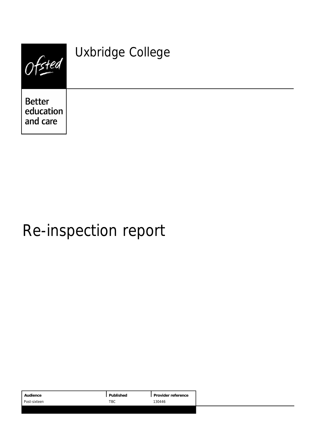| Hed                                    | Uxbridge College |
|----------------------------------------|------------------|
| <b>Better</b><br>education<br>and care |                  |

# Re-inspection report

| Published<br>Audience<br>Provider reference |
|---------------------------------------------|
| 130446<br>TBC<br>Post-sixteen               |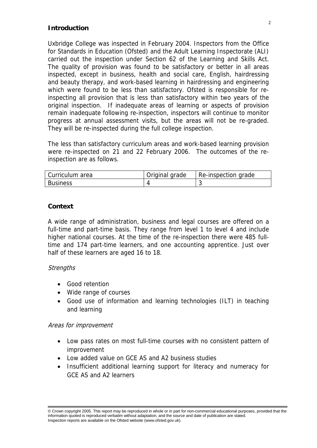## **Introduction**

Uxbridge College was inspected in February 2004. Inspectors from the Office for Standards in Education (Ofsted) and the Adult Learning Inspectorate (ALI) carried out the inspection under Section 62 of the Learning and Skills Act. The quality of provision was found to be satisfactory or better in all areas inspected, except in business, health and social care, English, hairdressing and beauty therapy, and work-based learning in hairdressing and engineering which were found to be less than satisfactory. Ofsted is responsible for reinspecting all provision that is less than satisfactory within two years of the original inspection. If inadequate areas of learning or aspects of provision remain inadequate following re-inspection, inspectors will continue to monitor progress at annual assessment visits, but the areas will not be re-graded. They will be re-inspected during the full college inspection.

The less than satisfactory curriculum areas and work-based learning provision were re-inspected on 21 and 22 February 2006. The outcomes of the reinspection are as follows.

| Curriculum area | Original grade | Re-inspection grade |
|-----------------|----------------|---------------------|
| <b>Business</b> |                |                     |

# **Context**

A wide range of administration, business and legal courses are offered on a full-time and part-time basis. They range from level 1 to level 4 and include higher national courses. At the time of the re-inspection there were 485 fulltime and 174 part-time learners, and one accounting apprentice. Just over half of these learners are aged 16 to 18.

## **Strengths**

- Good retention
- Wide range of courses
- Good use of information and learning technologies (ILT) in teaching and learning

## Areas for improvement

- Low pass rates on most full-time courses with no consistent pattern of improvement
- Low added value on GCE AS and A2 business studies
- Insufficient additional learning support for literacy and numeracy for GCE AS and A2 learners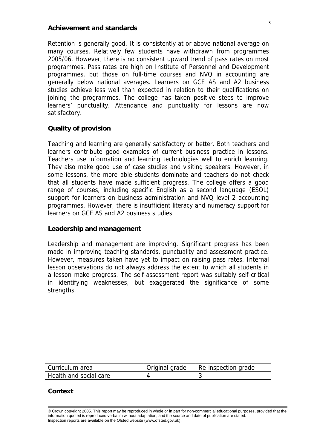#### **Achievement and standards**

Retention is generally good. It is consistently at or above national average on many courses. Relatively few students have withdrawn from programmes 2005/06. However, there is no consistent upward trend of pass rates on most programmes. Pass rates are high on Institute of Personnel and Development programmes, but those on full-time courses and NVQ in accounting are generally below national averages. Learners on GCE AS and A2 business studies achieve less well than expected in relation to their qualifications on joining the programmes. The college has taken positive steps to improve learners' punctuality. Attendance and punctuality for lessons are now satisfactory.

## **Quality of provision**

Teaching and learning are generally satisfactory or better. Both teachers and learners contribute good examples of current business practice in lessons. Teachers use information and learning technologies well to enrich learning. They also make good use of case studies and visiting speakers. However, in some lessons, the more able students dominate and teachers do not check that all students have made sufficient progress. The college offers a good range of courses, including specific English as a second language (ESOL) support for learners on business administration and NVQ level 2 accounting programmes. However, there is insufficient literacy and numeracy support for learners on GCE AS and A2 business studies.

#### **Leadership and management**

Leadership and management are improving. Significant progress has been made in improving teaching standards, punctuality and assessment practice. However, measures taken have yet to impact on raising pass rates. Internal lesson observations do not always address the extent to which all students in a lesson make progress. The self-assessment report was suitably self-critical in identifying weaknesses, but exaggerated the significance of some strengths.

| Curriculum area        | Original grade | Re-inspection grade |
|------------------------|----------------|---------------------|
| Health and social care |                |                     |

#### **Context**

<sup>©</sup> Crown copyright 2005. This report may be reproduced in whole or in part for non-commercial educational purposes, provided that the information quoted is reproduced verbatim without adaptation, and the source and date of publication are stated. Inspection reports are available on the Ofsted website (www.ofsted.gov.uk).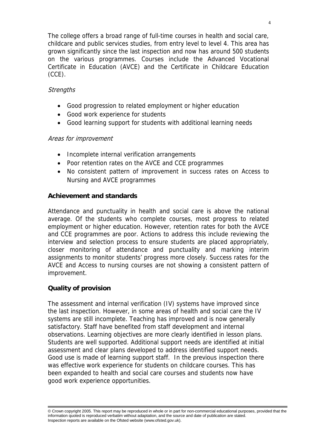The college offers a broad range of full-time courses in health and social care, childcare and public services studies, from entry level to level 4. This area has grown significantly since the last inspection and now has around 500 students on the various programmes. Courses include the Advanced Vocational Certificate in Education (AVCE) and the Certificate in Childcare Education (CCE).

# **Strengths**

- Good progression to related employment or higher education
- Good work experience for students
- Good learning support for students with additional learning needs

# Areas for improvement

- Incomplete internal verification arrangements
- Poor retention rates on the AVCE and CCE programmes
- No consistent pattern of improvement in success rates on Access to Nursing and AVCE programmes

# **Achievement and standards**

Attendance and punctuality in health and social care is above the national average. Of the students who complete courses, most progress to related employment or higher education. However, retention rates for both the AVCE and CCE programmes are poor. Actions to address this include reviewing the interview and selection process to ensure students are placed appropriately, closer monitoring of attendance and punctuality and marking interim assignments to monitor students' progress more closely. Success rates for the AVCE and Access to nursing courses are not showing a consistent pattern of improvement.

# **Quality of provision**

The assessment and internal verification (IV) systems have improved since the last inspection. However, in some areas of health and social care the IV systems are still incomplete. Teaching has improved and is now generally satisfactory. Staff have benefited from staff development and internal observations. Learning objectives are more clearly identified in lesson plans. Students are well supported. Additional support needs are identified at initial assessment and clear plans developed to address identified support needs. Good use is made of learning support staff. In the previous inspection there was effective work experience for students on childcare courses. This has been expanded to health and social care courses and students now have good work experience opportunities.

© Crown copyright 2005. This report may be reproduced in whole or in part for non-commercial educational purposes, provided that the information quoted is reproduced verbatim without adaptation, and the source and date of publication are stated. Inspection reports are available on the Ofsted website (www.ofsted.gov.uk).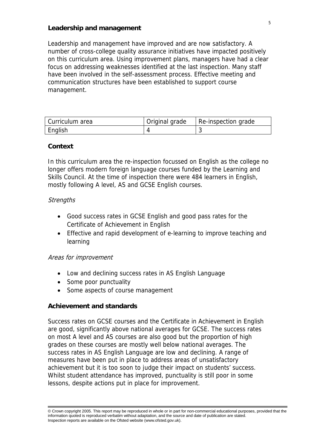## **Leadership and management**

Leadership and management have improved and are now satisfactory. A number of cross-college quality assurance initiatives have impacted positively on this curriculum area. Using improvement plans, managers have had a clear focus on addressing weaknesses identified at the last inspection. Many staff have been involved in the self-assessment process. Effective meeting and communication structures have been established to support course management.

| Curriculum area | Original grade | Re-inspection grade |
|-----------------|----------------|---------------------|
| English         |                |                     |

## **Context**

In this curriculum area the re-inspection focussed on English as the college no longer offers modern foreign language courses funded by the Learning and Skills Council. At the time of inspection there were 484 learners in English, mostly following A level, AS and GCSE English courses.

## **Strengths**

- Good success rates in GCSE English and good pass rates for the Certificate of Achievement in English
- Effective and rapid development of e-learning to improve teaching and learning

## Areas for improvement

- Low and declining success rates in AS English Language
- Some poor punctuality
- Some aspects of course management

## **Achievement and standards**

Success rates on GCSE courses and the Certificate in Achievement in English are good, significantly above national averages for GCSE. The success rates on most A level and AS courses are also good but the proportion of high grades on these courses are mostly well below national averages. The success rates in AS English Language are low and declining. A range of measures have been put in place to address areas of unsatisfactory achievement but it is too soon to judge their impact on students' success. Whilst student attendance has improved, punctuality is still poor in some lessons, despite actions put in place for improvement.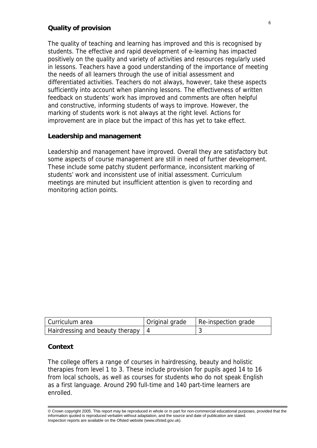#### **Quality of provision**

The quality of teaching and learning has improved and this is recognised by students. The effective and rapid development of e-learning has impacted positively on the quality and variety of activities and resources regularly used in lessons. Teachers have a good understanding of the importance of meeting the needs of all learners through the use of initial assessment and differentiated activities. Teachers do not always, however, take these aspects sufficiently into account when planning lessons. The effectiveness of written feedback on students' work has improved and comments are often helpful and constructive, informing students of ways to improve. However, the marking of students work is not always at the right level. Actions for improvement are in place but the impact of this has yet to take effect.

#### **Leadership and management**

Leadership and management have improved. Overall they are satisfactory but some aspects of course management are still in need of further development. These include some patchy student performance, inconsistent marking of students' work and inconsistent use of initial assessment. Curriculum meetings are minuted but insufficient attention is given to recording and monitoring action points.

| Curriculum area                      | Original grade | Re-inspection grade |
|--------------------------------------|----------------|---------------------|
| Hairdressing and beauty therapy $ 4$ |                |                     |

#### **Context**

The college offers a range of courses in hairdressing, beauty and holistic therapies from level 1 to 3. These include provision for pupils aged 14 to 16 from local schools, as well as courses for students who do not speak English as a first language. Around 290 full-time and 140 part-time learners are enrolled.

<sup>©</sup> Crown copyright 2005. This report may be reproduced in whole or in part for non-commercial educational purposes, provided that the information quoted is reproduced verbatim without adaptation, and the source and date of publication are stated. Inspection reports are available on the Ofsted website (www.ofsted.gov.uk).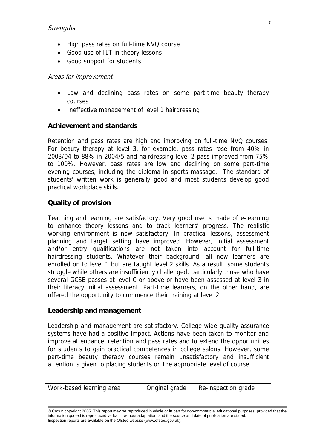## **Strengths**

- High pass rates on full-time NVQ course
- Good use of ILT in theory lessons
- Good support for students

## Areas for improvement

- Low and declining pass rates on some part-time beauty therapy courses
- Ineffective management of level 1 hairdressing

## **Achievement and standards**

Retention and pass rates are high and improving on full-time NVQ courses. For beauty therapy at level 3, for example, pass rates rose from 40% in 2003/04 to 88% in 2004/5 and hairdressing level 2 pass improved from 75% to 100%. However, pass rates are low and declining on some part-time evening courses, including the diploma in sports massage. The standard of students' written work is generally good and most students develop good practical workplace skills.

# **Quality of provision**

Teaching and learning are satisfactory. Very good use is made of e-learning to enhance theory lessons and to track learners' progress. The realistic working environment is now satisfactory. In practical lessons, assessment planning and target setting have improved. However, initial assessment and/or entry qualifications are not taken into account for full-time hairdressing students. Whatever their background, all new learners are enrolled on to level 1 but are taught level 2 skills. As a result, some students struggle while others are insufficiently challenged, particularly those who have several GCSE passes at level C or above or have been assessed at level 3 in their literacy initial assessment. Part-time learners, on the other hand, are offered the opportunity to commence their training at level 2.

#### **Leadership and management**

Leadership and management are satisfactory. College-wide quality assurance systems have had a positive impact. Actions have been taken to monitor and improve attendance, retention and pass rates and to extend the opportunities for students to gain practical competences in college salons. However, some part-time beauty therapy courses remain unsatisfactory and insufficient attention is given to placing students on the appropriate level of course.

|  | Work-based learning area | Original grade | Re-inspection grade |
|--|--------------------------|----------------|---------------------|
|--|--------------------------|----------------|---------------------|

© Crown copyright 2005. This report may be reproduced in whole or in part for non-commercial educational purposes, provided that the information quoted is reproduced verbatim without adaptation, and the source and date of publication are stated. Inspection reports are available on the Ofsted website (www.ofsted.gov.uk).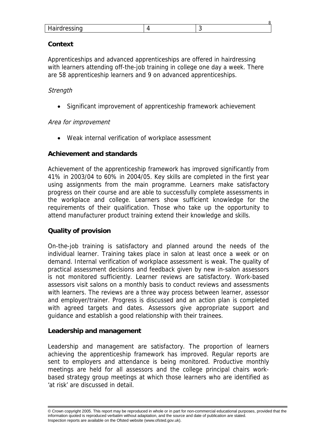| <b>Ilairdrocoing</b><br><u>Hall UI ESSILIY</u> |  |
|------------------------------------------------|--|

 $\sim$ 

## **Context**

Apprenticeships and advanced apprenticeships are offered in hairdressing with learners attending off-the-job training in college one day a week. There are 58 apprenticeship learners and 9 on advanced apprenticeships.

# **Strength**

Significant improvement of apprenticeship framework achievement

## Area for improvement

Weak internal verification of workplace assessment

# **Achievement and standards**

Achievement of the apprenticeship framework has improved significantly from 41% in 2003/04 to 60% in 2004/05. Key skills are completed in the first year using assignments from the main programme. Learners make satisfactory progress on their course and are able to successfully complete assessments in the workplace and college. Learners show sufficient knowledge for the requirements of their qualification. Those who take up the opportunity to attend manufacturer product training extend their knowledge and skills.

## **Quality of provision**

On-the-job training is satisfactory and planned around the needs of the individual learner. Training takes place in salon at least once a week or on demand. Internal verification of workplace assessment is weak. The quality of practical assessment decisions and feedback given by new in-salon assessors is not monitored sufficiently. Learner reviews are satisfactory. Work-based assessors visit salons on a monthly basis to conduct reviews and assessments with learners. The reviews are a three way process between learner, assessor and employer/trainer. Progress is discussed and an action plan is completed with agreed targets and dates. Assessors give appropriate support and guidance and establish a good relationship with their trainees.

## **Leadership and management**

Leadership and management are satisfactory. The proportion of learners achieving the apprenticeship framework has improved. Regular reports are sent to employers and attendance is being monitored. Productive monthly meetings are held for all assessors and the college principal chairs workbased strategy group meetings at which those learners who are identified as 'at risk' are discussed in detail.

<sup>©</sup> Crown copyright 2005. This report may be reproduced in whole or in part for non-commercial educational purposes, provided that the information quoted is reproduced verbatim without adaptation, and the source and date of publication are stated. Inspection reports are available on the Ofsted website (www.ofsted.gov.uk).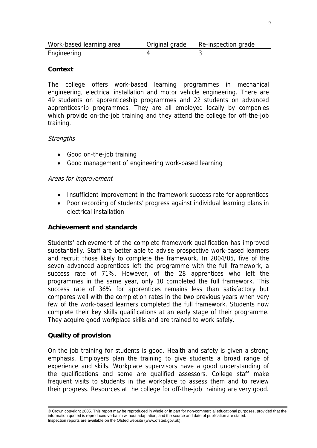| Work-based learning area | Original grade | Re-inspection grade |
|--------------------------|----------------|---------------------|
| Engineering              |                |                     |

## **Context**

The college offers work-based learning programmes in mechanical engineering, electrical installation and motor vehicle engineering. There are 49 students on apprenticeship programmes and 22 students on advanced apprenticeship programmes. They are all employed locally by companies which provide on-the-job training and they attend the college for off-the-job training.

# **Strengths**

- Good on-the-job training
- Good management of engineering work-based learning

# Areas for improvement

- Insufficient improvement in the framework success rate for apprentices
- Poor recording of students' progress against individual learning plans in electrical installation

# **Achievement and standards**

Students' achievement of the complete framework qualification has improved substantially. Staff are better able to advise prospective work-based learners and recruit those likely to complete the framework. In 2004/05, five of the seven advanced apprentices left the programme with the full framework, a success rate of 71%. However, of the 28 apprentices who left the programmes in the same year, only 10 completed the full framework. This success rate of 36% for apprentices remains less than satisfactory but compares well with the completion rates in the two previous years when very few of the work-based learners completed the full framework. Students now complete their key skills qualifications at an early stage of their programme. They acquire good workplace skills and are trained to work safely.

## **Quality of provision**

On-the-job training for students is good. Health and safety is given a strong emphasis. Employers plan the training to give students a broad range of experience and skills. Workplace supervisors have a good understanding of the qualifications and some are qualified assessors. College staff make frequent visits to students in the workplace to assess them and to review their progress. Resources at the college for off-the-job training are very good.

<sup>©</sup> Crown copyright 2005. This report may be reproduced in whole or in part for non-commercial educational purposes, provided that the information quoted is reproduced verbatim without adaptation, and the source and date of publication are stated. Inspection reports are available on the Ofsted website (www.ofsted.gov.uk).